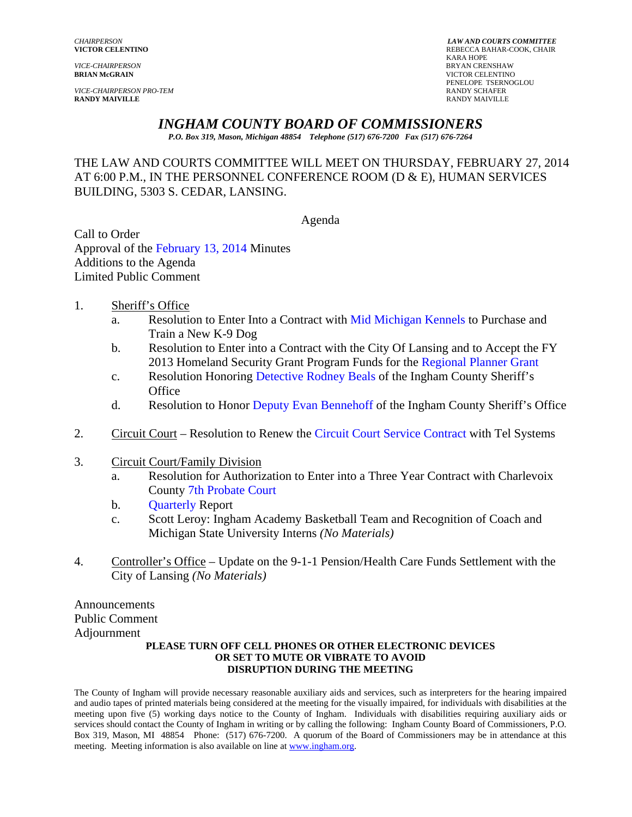*VICE-CHAIRPERSON* BRYAN CRENSHAW

**VICE-CHAIRPERSON PRO-TEM RANDY MAIVILLE** RANDY MAIVILLE

*CHAIRPERSON LAW AND COURTS COMMITTEE* REBECCA BAHAR-COOK, CHAIR<br>KARA HOPE KARA HOPE **VICTOR CELENTINO** PENELOPE TSERNOGLOU<br>RANDY SCHAFER

# *INGHAM COUNTY BOARD OF COMMISSIONERS*

*P.O. Box 319, Mason, Michigan 48854 Telephone (517) 676-7200 Fax (517) 676-7264*

THE LAW AND COURTS COMMITTEE WILL MEET ON THURSDAY, FEBRUARY 27, 2014 AT 6:00 P.M., IN THE PERSONNEL CONFERENCE ROOM (D & E), HUMAN SERVICES BUILDING, 5303 S. CEDAR, LANSING.

#### Agenda

Call to Order Approval of the [February 13, 2014 M](#page-1-0)inutes Additions to the Agenda Limited Public Comment

- 1. Sheriff's Office
	- a. Resolution to Enter Into a Contract wi[th Mid Michigan Kennels to](#page-6-0) Purchase and Train a New K-9 Dog
	- b. Resolution to Enter into a Contract with the City [Of Lansing and to Accept the FY](#page-8-0) 2013 Homeland Security Grant Program Funds for the Regional Planner Grant
	- c. Resolution Honor[ing Detective Rodney Beals of](#page-11-0) the Ingham County Sheriff's **Office**
	- d. Resolution to Hon[or Deputy Evan Bennehoff of t](#page-13-0)he Ingham County Sheriff's Office
- 2. Circuit Court Resolution to Renew the [Circuit Court Service Contract with Tel](#page-16-0) Systems
- 3. Circuit Court/Family Division
	- a. Resolution for Authorization to Enter into a Three Year Contract with Charlevoix C[ounty 7th Probate Court](#page-18-0)
	- b. [Quarterly R](#page-20-0)eport
	- c. Scott Leroy: Ingham Academy Basketball Team and Recognition of Coach and Michigan State University Interns *(No Materials)*
- 4. Controller's Office Update on the 9-1-1 Pension/Health Care Funds Settlement with the City of Lansing *(No Materials)*

Announcements Public Comment Adjournment

#### **PLEASE TURN OFF CELL PHONES OR OTHER ELECTRONIC DEVICES OR SET TO MUTE OR VIBRATE TO AVOID DISRUPTION DURING THE MEETING**

The County of Ingham will provide necessary reasonable auxiliary aids and services, such as interpreters for the hearing impaired and audio tapes of printed materials being considered at the meeting for the visually impaired, for individuals with disabilities at the meeting upon five (5) working days notice to the County of Ingham. Individuals with disabilities requiring auxiliary aids or services should contact the County of Ingham in writing or by calling the following: Ingham County Board of Commissioners, P.O. Box 319, Mason, MI 48854 Phone: (517) 676-7200. A quorum of the Board of Commissioners may be in attendance at this meeting. Meeting information is also available on line at www.ingham.org.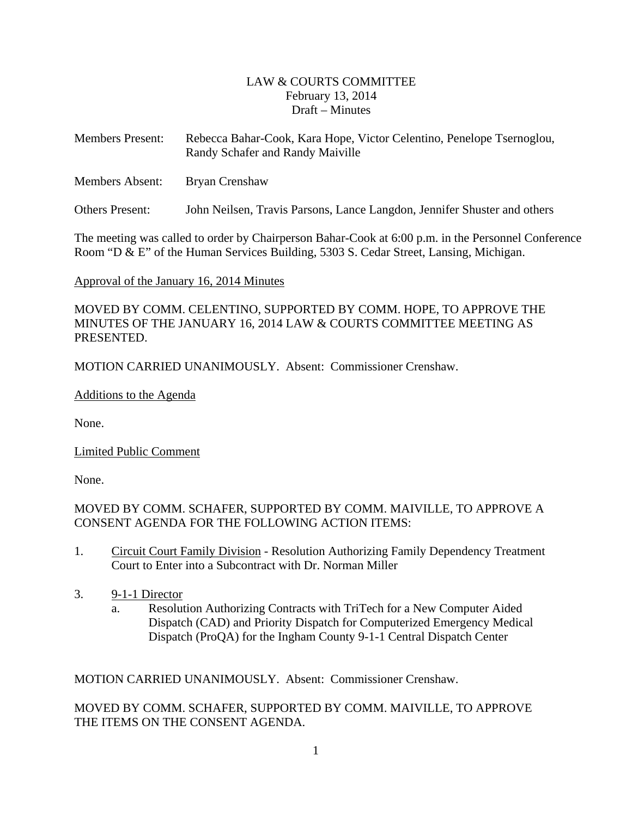# LAW & COURTS COMMITTEE February 13, 2014 Draft – Minutes

<span id="page-1-0"></span>

| <b>Members Present:</b> | Rebecca Bahar-Cook, Kara Hope, Victor Celentino, Penelope Tsernoglou,<br>Randy Schafer and Randy Maiville |
|-------------------------|-----------------------------------------------------------------------------------------------------------|
| <b>Members Absent:</b>  | Bryan Crenshaw                                                                                            |
| Others Present:         | John Neilsen, Travis Parsons, Lance Langdon, Jennifer Shuster and others                                  |

The meeting was called to order by Chairperson Bahar-Cook at 6:00 p.m. in the Personnel Conference Room "D & E" of the Human Services Building, 5303 S. Cedar Street, Lansing, Michigan.

Approval of the January 16, 2014 Minutes

MOVED BY COMM. CELENTINO, SUPPORTED BY COMM. HOPE, TO APPROVE THE MINUTES OF THE JANUARY 16, 2014 LAW & COURTS COMMITTEE MEETING AS PRESENTED.

MOTION CARRIED UNANIMOUSLY. Absent: Commissioner Crenshaw.

Additions to the Agenda

None.

Limited Public Comment

None.

MOVED BY COMM. SCHAFER, SUPPORTED BY COMM. MAIVILLE, TO APPROVE A CONSENT AGENDA FOR THE FOLLOWING ACTION ITEMS:

- 1. Circuit Court Family Division Resolution Authorizing Family Dependency Treatment Court to Enter into a Subcontract with Dr. Norman Miller
- 3. 9-1-1 Director
	- a. Resolution Authorizing Contracts with TriTech for a New Computer Aided Dispatch (CAD) and Priority Dispatch for Computerized Emergency Medical Dispatch (ProQA) for the Ingham County 9-1-1 Central Dispatch Center

MOTION CARRIED UNANIMOUSLY. Absent: Commissioner Crenshaw.

MOVED BY COMM. SCHAFER, SUPPORTED BY COMM. MAIVILLE, TO APPROVE THE ITEMS ON THE CONSENT AGENDA.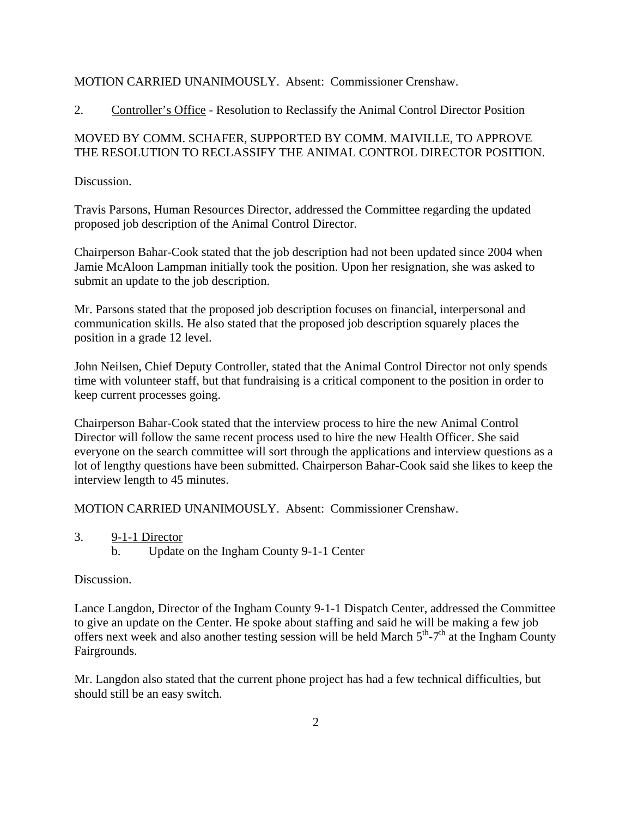### MOTION CARRIED UNANIMOUSLY. Absent: Commissioner Crenshaw.

2. Controller's Office - Resolution to Reclassify the Animal Control Director Position

# MOVED BY COMM. SCHAFER, SUPPORTED BY COMM. MAIVILLE, TO APPROVE THE RESOLUTION TO RECLASSIFY THE ANIMAL CONTROL DIRECTOR POSITION.

Discussion.

Travis Parsons, Human Resources Director, addressed the Committee regarding the updated proposed job description of the Animal Control Director.

Chairperson Bahar-Cook stated that the job description had not been updated since 2004 when Jamie McAloon Lampman initially took the position. Upon her resignation, she was asked to submit an update to the job description.

Mr. Parsons stated that the proposed job description focuses on financial, interpersonal and communication skills. He also stated that the proposed job description squarely places the position in a grade 12 level.

John Neilsen, Chief Deputy Controller, stated that the Animal Control Director not only spends time with volunteer staff, but that fundraising is a critical component to the position in order to keep current processes going.

Chairperson Bahar-Cook stated that the interview process to hire the new Animal Control Director will follow the same recent process used to hire the new Health Officer. She said everyone on the search committee will sort through the applications and interview questions as a lot of lengthy questions have been submitted. Chairperson Bahar-Cook said she likes to keep the interview length to 45 minutes.

MOTION CARRIED UNANIMOUSLY. Absent: Commissioner Crenshaw.

3. 9-1-1 Director b. Update on the Ingham County 9-1-1 Center

#### Discussion.

Lance Langdon, Director of the Ingham County 9-1-1 Dispatch Center, addressed the Committee to give an update on the Center. He spoke about staffing and said he will be making a few job offers next week and also another testing session will be held March  $5<sup>th</sup>-7<sup>th</sup>$  at the Ingham County Fairgrounds.

Mr. Langdon also stated that the current phone project has had a few technical difficulties, but should still be an easy switch.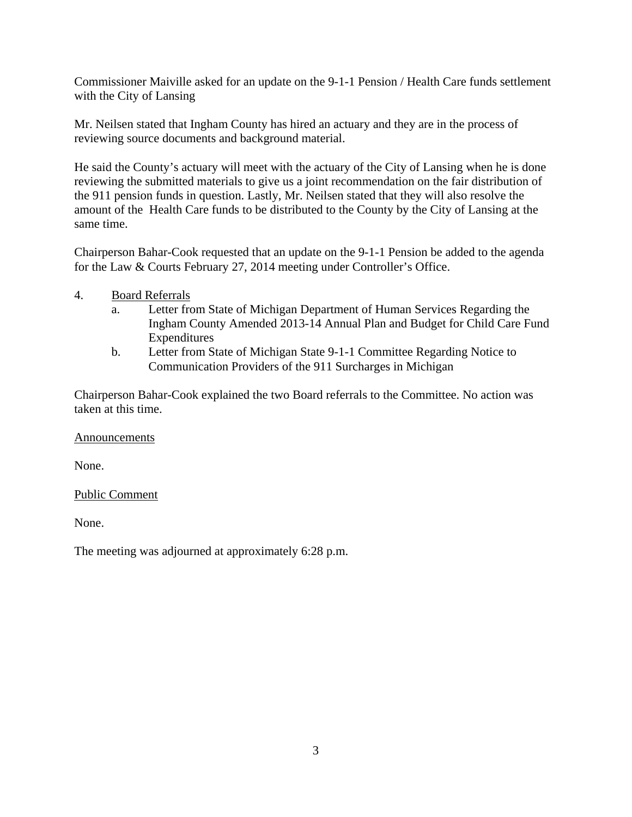Commissioner Maiville asked for an update on the 9-1-1 Pension / Health Care funds settlement with the City of Lansing

Mr. Neilsen stated that Ingham County has hired an actuary and they are in the process of reviewing source documents and background material.

He said the County's actuary will meet with the actuary of the City of Lansing when he is done reviewing the submitted materials to give us a joint recommendation on the fair distribution of the 911 pension funds in question. Lastly, Mr. Neilsen stated that they will also resolve the amount of the Health Care funds to be distributed to the County by the City of Lansing at the same time.

Chairperson Bahar-Cook requested that an update on the 9-1-1 Pension be added to the agenda for the Law & Courts February 27, 2014 meeting under Controller's Office.

- 4. Board Referrals
	- a. Letter from State of Michigan Department of Human Services Regarding the Ingham County Amended 2013-14 Annual Plan and Budget for Child Care Fund Expenditures
	- b. Letter from State of Michigan State 9-1-1 Committee Regarding Notice to Communication Providers of the 911 Surcharges in Michigan

Chairperson Bahar-Cook explained the two Board referrals to the Committee. No action was taken at this time.

Announcements

None.

Public Comment

None.

The meeting was adjourned at approximately 6:28 p.m.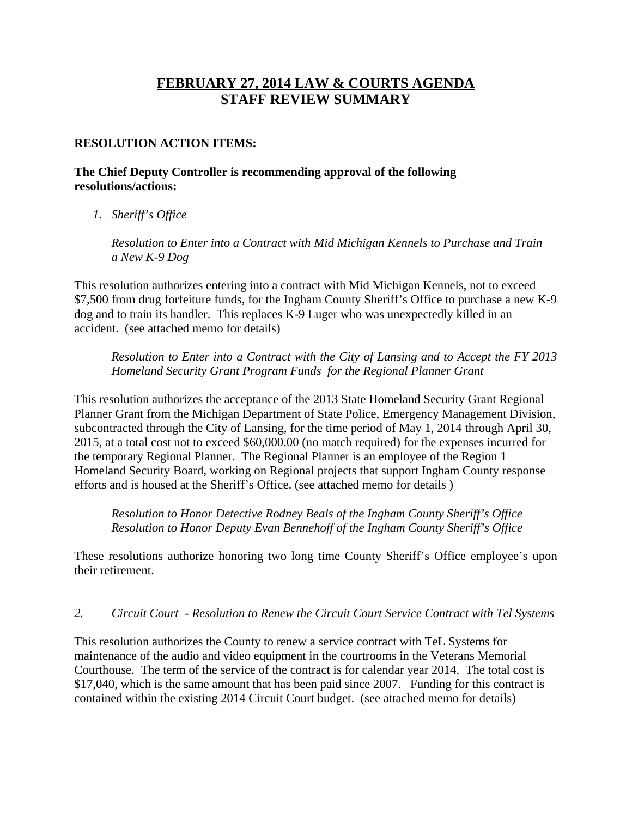# **FEBRUARY 27, 2014 LAW & COURTS AGENDA STAFF REVIEW SUMMARY**

# **RESOLUTION ACTION ITEMS:**

# **The Chief Deputy Controller is recommending approval of the following resolutions/actions:**

*1. Sheriff's Office* 

*Resolution to Enter into a Contract with Mid Michigan Kennels to Purchase and Train a New K-9 Dog* 

This resolution authorizes entering into a contract with Mid Michigan Kennels, not to exceed \$7,500 from drug forfeiture funds, for the Ingham County Sheriff's Office to purchase a new K-9 dog and to train its handler. This replaces K-9 Luger who was unexpectedly killed in an accident. (see attached memo for details)

*Resolution to Enter into a Contract with the City of Lansing and to Accept the FY 2013 Homeland Security Grant Program Funds for the Regional Planner Grant* 

This resolution authorizes the acceptance of the 2013 State Homeland Security Grant Regional Planner Grant from the Michigan Department of State Police, Emergency Management Division, subcontracted through the City of Lansing, for the time period of May 1, 2014 through April 30, 2015, at a total cost not to exceed \$60,000.00 (no match required) for the expenses incurred for the temporary Regional Planner. The Regional Planner is an employee of the Region 1 Homeland Security Board, working on Regional projects that support Ingham County response efforts and is housed at the Sheriff's Office. (see attached memo for details )

*Resolution to Honor Detective Rodney Beals of the Ingham County Sheriff's Office Resolution to Honor Deputy Evan Bennehoff of the Ingham County Sheriff's Office* 

These resolutions authorize honoring two long time County Sheriff's Office employee's upon their retirement.

#### *2. Circuit Court - Resolution to Renew the Circuit Court Service Contract with Tel Systems*

This resolution authorizes the County to renew a service contract with TeL Systems for maintenance of the audio and video equipment in the courtrooms in the Veterans Memorial Courthouse. The term of the service of the contract is for calendar year 2014. The total cost is \$17,040, which is the same amount that has been paid since 2007. Funding for this contract is contained within the existing 2014 Circuit Court budget. (see attached memo for details)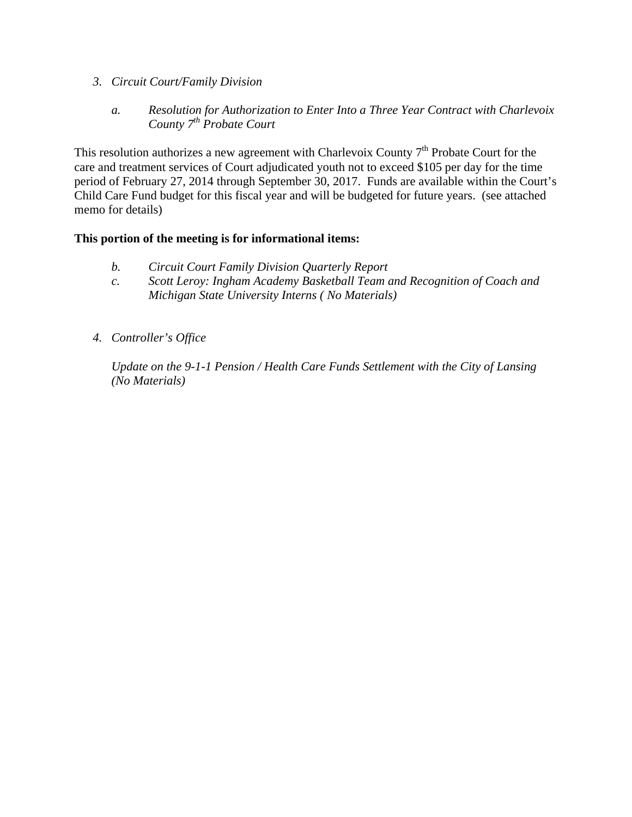- *3. Circuit Court/Family Division* 
	- *a. Resolution for Authorization to Enter Into a Three Year Contract with Charlevoix County 7th Probate Court*

This resolution authorizes a new agreement with Charlevoix County  $7<sup>th</sup>$  Probate Court for the care and treatment services of Court adjudicated youth not to exceed \$105 per day for the time period of February 27, 2014 through September 30, 2017. Funds are available within the Court's Child Care Fund budget for this fiscal year and will be budgeted for future years. (see attached memo for details)

# **This portion of the meeting is for informational items:**

- *b. Circuit Court Family Division Quarterly Report*
- *c. Scott Leroy: Ingham Academy Basketball Team and Recognition of Coach and Michigan State University Interns ( No Materials)*
- *4. Controller's Office*

*Update on the 9-1-1 Pension / Health Care Funds Settlement with the City of Lansing (No Materials)*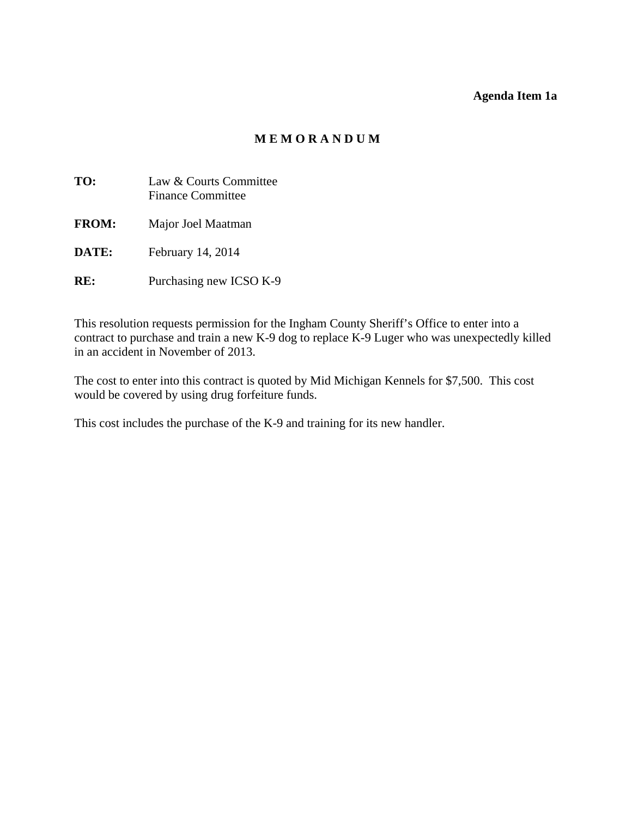#### **Agenda Item 1a**

# **M E M O R A N D U M**

<span id="page-6-0"></span>

| TO:          | Law & Courts Committee<br><b>Finance Committee</b> |
|--------------|----------------------------------------------------|
| <b>FROM:</b> | Major Joel Maatman                                 |
| DATE:        | February 14, 2014                                  |
| RK:          | Purchasing new ICSO K-9                            |

This resolution requests permission for the Ingham County Sheriff's Office to enter into a contract to purchase and train a new K-9 dog to replace K-9 Luger who was unexpectedly killed in an accident in November of 2013.

The cost to enter into this contract is quoted by Mid Michigan Kennels for \$7,500. This cost would be covered by using drug forfeiture funds.

This cost includes the purchase of the K-9 and training for its new handler.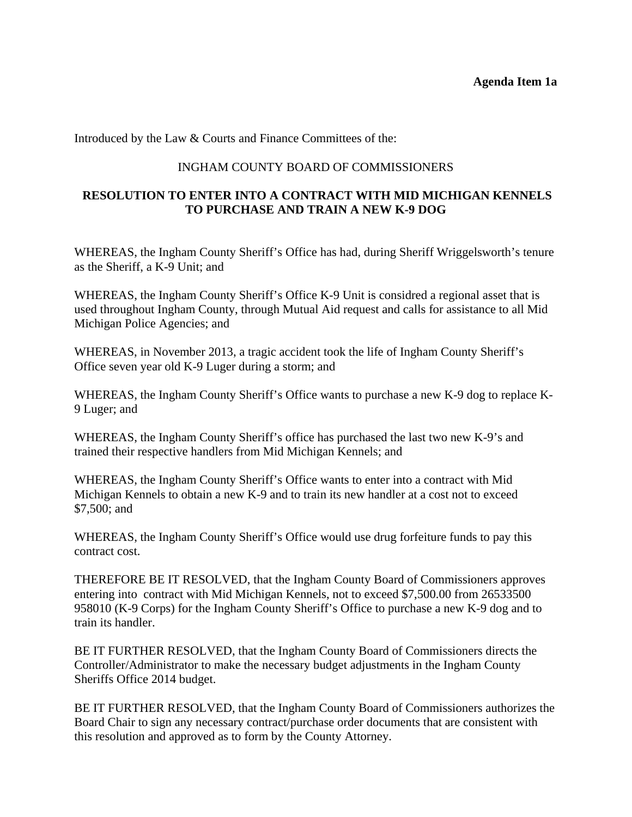#### **Agenda Item 1a**

Introduced by the Law & Courts and Finance Committees of the:

#### INGHAM COUNTY BOARD OF COMMISSIONERS

# **RESOLUTION TO ENTER INTO A CONTRACT WITH MID MICHIGAN KENNELS TO PURCHASE AND TRAIN A NEW K-9 DOG**

WHEREAS, the Ingham County Sheriff's Office has had, during Sheriff Wriggelsworth's tenure as the Sheriff, a K-9 Unit; and

WHEREAS, the Ingham County Sheriff's Office K-9 Unit is considred a regional asset that is used throughout Ingham County, through Mutual Aid request and calls for assistance to all Mid Michigan Police Agencies; and

WHEREAS, in November 2013, a tragic accident took the life of Ingham County Sheriff's Office seven year old K-9 Luger during a storm; and

WHEREAS, the Ingham County Sheriff's Office wants to purchase a new K-9 dog to replace K-9 Luger; and

WHEREAS, the Ingham County Sheriff's office has purchased the last two new K-9's and trained their respective handlers from Mid Michigan Kennels; and

WHEREAS, the Ingham County Sheriff's Office wants to enter into a contract with Mid Michigan Kennels to obtain a new K-9 and to train its new handler at a cost not to exceed \$7,500; and

WHEREAS, the Ingham County Sheriff's Office would use drug forfeiture funds to pay this contract cost.

THEREFORE BE IT RESOLVED, that the Ingham County Board of Commissioners approves entering into contract with Mid Michigan Kennels, not to exceed \$7,500.00 from 26533500 958010 (K-9 Corps) for the Ingham County Sheriff's Office to purchase a new K-9 dog and to train its handler.

BE IT FURTHER RESOLVED, that the Ingham County Board of Commissioners directs the Controller/Administrator to make the necessary budget adjustments in the Ingham County Sheriffs Office 2014 budget.

BE IT FURTHER RESOLVED, that the Ingham County Board of Commissioners authorizes the Board Chair to sign any necessary contract/purchase order documents that are consistent with this resolution and approved as to form by the County Attorney.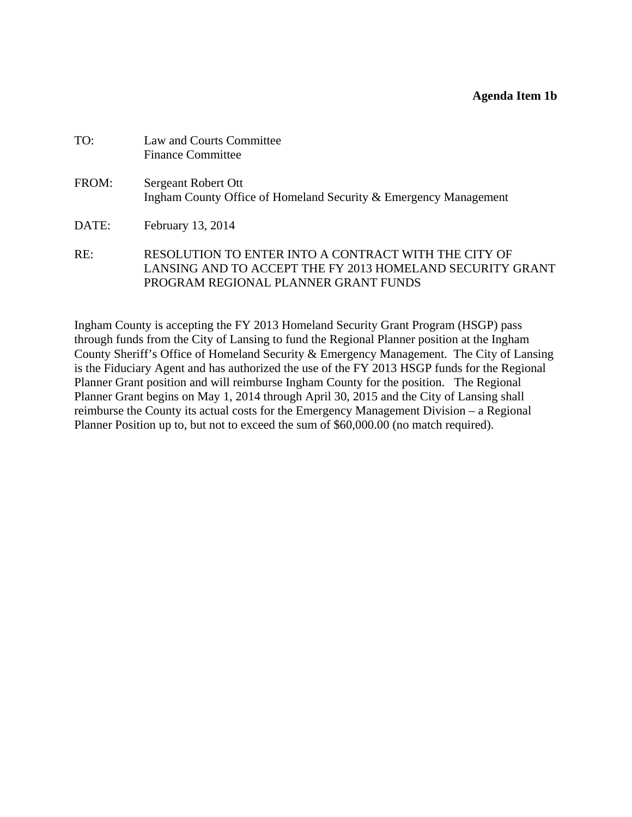<span id="page-8-0"></span>

| TO:   | Law and Courts Committee<br><b>Finance Committee</b>                                                              |
|-------|-------------------------------------------------------------------------------------------------------------------|
| FROM: | Sergeant Robert Ott<br>Ingham County Office of Homeland Security & Emergency Management                           |
| DATE: | February 13, 2014                                                                                                 |
| RE:   | RESOLUTION TO ENTER INTO A CONTRACT WITH THE CITY OF<br>LANSING AND TO ACCEPT THE FY 2013 HOMELAND SECURITY GRANT |

PROGRAM REGIONAL PLANNER GRANT FUNDS

Ingham County is accepting the FY 2013 Homeland Security Grant Program (HSGP) pass through funds from the City of Lansing to fund the Regional Planner position at the Ingham County Sheriff's Office of Homeland Security & Emergency Management. The City of Lansing is the Fiduciary Agent and has authorized the use of the FY 2013 HSGP funds for the Regional Planner Grant position and will reimburse Ingham County for the position. The Regional Planner Grant begins on May 1, 2014 through April 30, 2015 and the City of Lansing shall reimburse the County its actual costs for the Emergency Management Division – a Regional Planner Position up to, but not to exceed the sum of \$60,000.00 (no match required).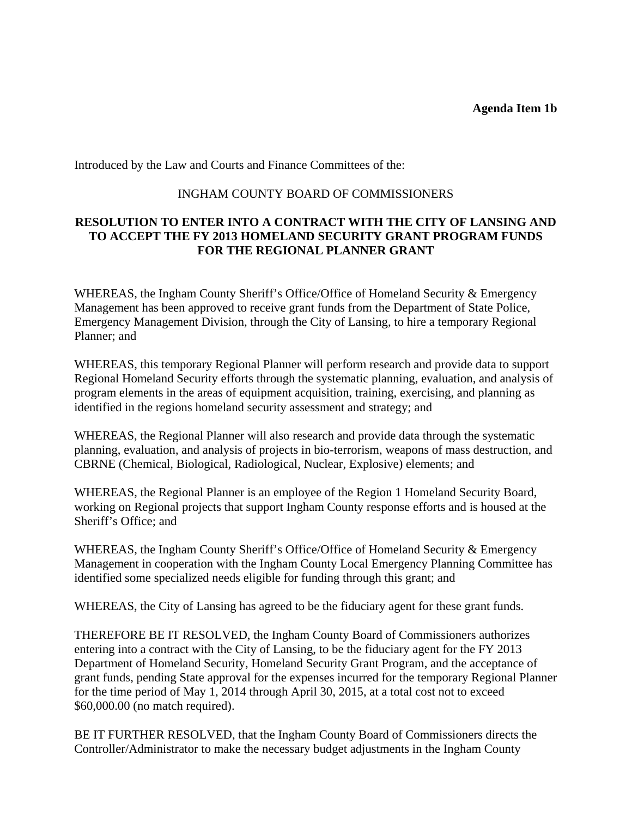Introduced by the Law and Courts and Finance Committees of the:

#### INGHAM COUNTY BOARD OF COMMISSIONERS

### **RESOLUTION TO ENTER INTO A CONTRACT WITH THE CITY OF LANSING AND TO ACCEPT THE FY 2013 HOMELAND SECURITY GRANT PROGRAM FUNDS FOR THE REGIONAL PLANNER GRANT**

WHEREAS, the Ingham County Sheriff's Office/Office of Homeland Security & Emergency Management has been approved to receive grant funds from the Department of State Police, Emergency Management Division, through the City of Lansing, to hire a temporary Regional Planner; and

WHEREAS, this temporary Regional Planner will perform research and provide data to support Regional Homeland Security efforts through the systematic planning, evaluation, and analysis of program elements in the areas of equipment acquisition, training, exercising, and planning as identified in the regions homeland security assessment and strategy; and

WHEREAS, the Regional Planner will also research and provide data through the systematic planning, evaluation, and analysis of projects in bio-terrorism, weapons of mass destruction, and CBRNE (Chemical, Biological, Radiological, Nuclear, Explosive) elements; and

WHEREAS, the Regional Planner is an employee of the Region 1 Homeland Security Board, working on Regional projects that support Ingham County response efforts and is housed at the Sheriff's Office; and

WHEREAS, the Ingham County Sheriff's Office/Office of Homeland Security & Emergency Management in cooperation with the Ingham County Local Emergency Planning Committee has identified some specialized needs eligible for funding through this grant; and

WHEREAS, the City of Lansing has agreed to be the fiduciary agent for these grant funds.

THEREFORE BE IT RESOLVED, the Ingham County Board of Commissioners authorizes entering into a contract with the City of Lansing, to be the fiduciary agent for the FY 2013 Department of Homeland Security, Homeland Security Grant Program, and the acceptance of grant funds, pending State approval for the expenses incurred for the temporary Regional Planner for the time period of May 1, 2014 through April 30, 2015, at a total cost not to exceed \$60,000.00 (no match required).

BE IT FURTHER RESOLVED, that the Ingham County Board of Commissioners directs the Controller/Administrator to make the necessary budget adjustments in the Ingham County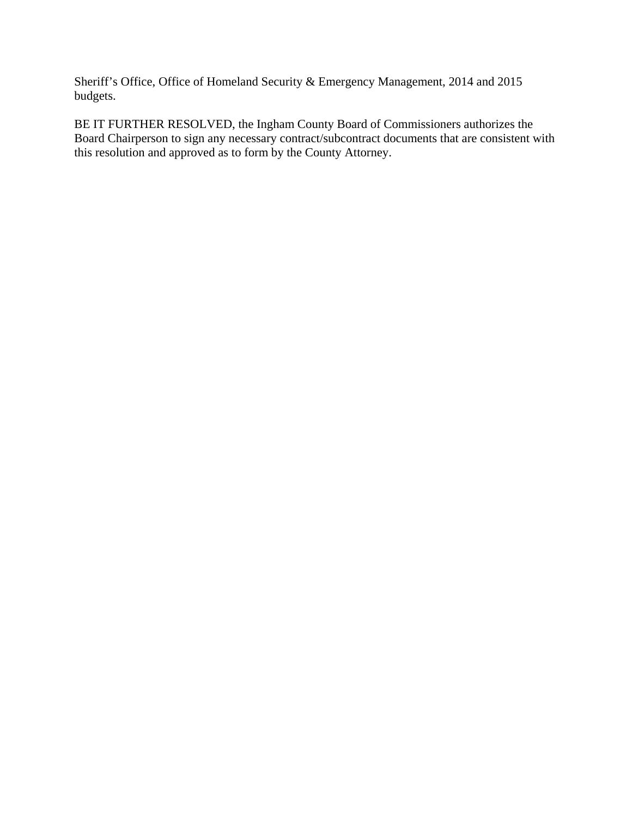Sheriff's Office, Office of Homeland Security & Emergency Management, 2014 and 2015 budgets.

BE IT FURTHER RESOLVED, the Ingham County Board of Commissioners authorizes the Board Chairperson to sign any necessary contract/subcontract documents that are consistent with this resolution and approved as to form by the County Attorney.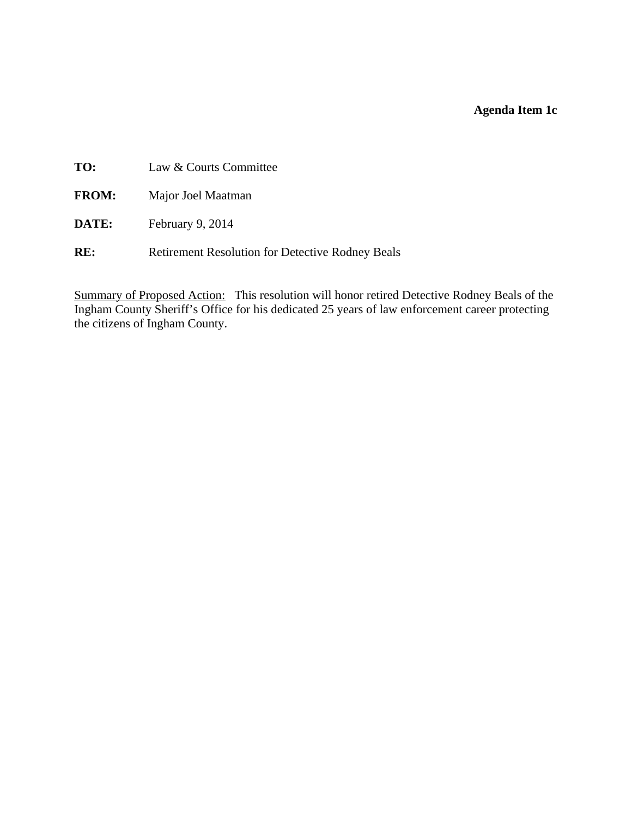# **Agenda Item 1c**

<span id="page-11-0"></span>**TO:** Law & Courts Committee

- **FROM:** Major Joel Maatman
- **DATE:** February 9, 2014
- RE: Retirement Resolution for Detective Rodney Beals

Summary of Proposed Action: This resolution will honor retired Detective Rodney Beals of the Ingham County Sheriff's Office for his dedicated 25 years of law enforcement career protecting the citizens of Ingham County.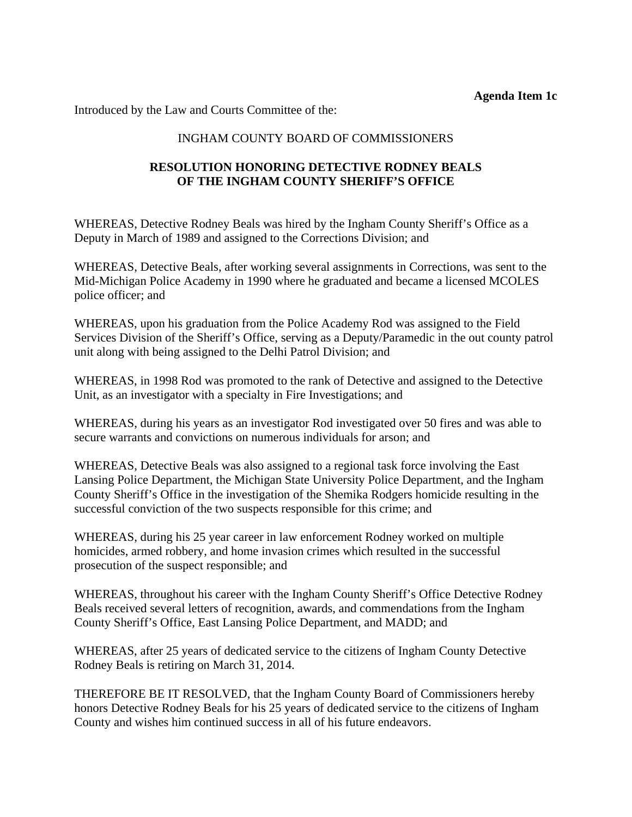**Agenda Item 1c** 

Introduced by the Law and Courts Committee of the:

# INGHAM COUNTY BOARD OF COMMISSIONERS

# **RESOLUTION HONORING DETECTIVE RODNEY BEALS OF THE INGHAM COUNTY SHERIFF'S OFFICE**

WHEREAS, Detective Rodney Beals was hired by the Ingham County Sheriff's Office as a Deputy in March of 1989 and assigned to the Corrections Division; and

WHEREAS, Detective Beals, after working several assignments in Corrections, was sent to the Mid-Michigan Police Academy in 1990 where he graduated and became a licensed MCOLES police officer; and

WHEREAS, upon his graduation from the Police Academy Rod was assigned to the Field Services Division of the Sheriff's Office, serving as a Deputy/Paramedic in the out county patrol unit along with being assigned to the Delhi Patrol Division; and

WHEREAS, in 1998 Rod was promoted to the rank of Detective and assigned to the Detective Unit, as an investigator with a specialty in Fire Investigations; and

WHEREAS, during his years as an investigator Rod investigated over 50 fires and was able to secure warrants and convictions on numerous individuals for arson; and

WHEREAS, Detective Beals was also assigned to a regional task force involving the East Lansing Police Department, the Michigan State University Police Department, and the Ingham County Sheriff's Office in the investigation of the Shemika Rodgers homicide resulting in the successful conviction of the two suspects responsible for this crime; and

WHEREAS, during his 25 year career in law enforcement Rodney worked on multiple homicides, armed robbery, and home invasion crimes which resulted in the successful prosecution of the suspect responsible; and

WHEREAS, throughout his career with the Ingham County Sheriff's Office Detective Rodney Beals received several letters of recognition, awards, and commendations from the Ingham County Sheriff's Office, East Lansing Police Department, and MADD; and

WHEREAS, after 25 years of dedicated service to the citizens of Ingham County Detective Rodney Beals is retiring on March 31, 2014.

THEREFORE BE IT RESOLVED, that the Ingham County Board of Commissioners hereby honors Detective Rodney Beals for his 25 years of dedicated service to the citizens of Ingham County and wishes him continued success in all of his future endeavors.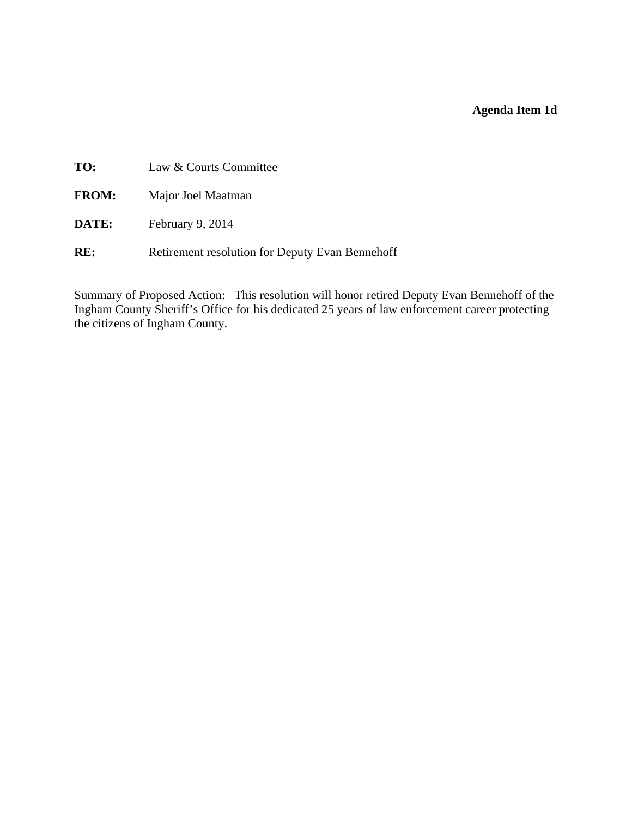# **Agenda Item 1d**

<span id="page-13-0"></span>**TO:** Law & Courts Committee

- **FROM:** Major Joel Maatman
- **DATE:** February 9, 2014
- RE: Retirement resolution for Deputy Evan Bennehoff

Summary of Proposed Action: This resolution will honor retired Deputy Evan Bennehoff of the Ingham County Sheriff's Office for his dedicated 25 years of law enforcement career protecting the citizens of Ingham County.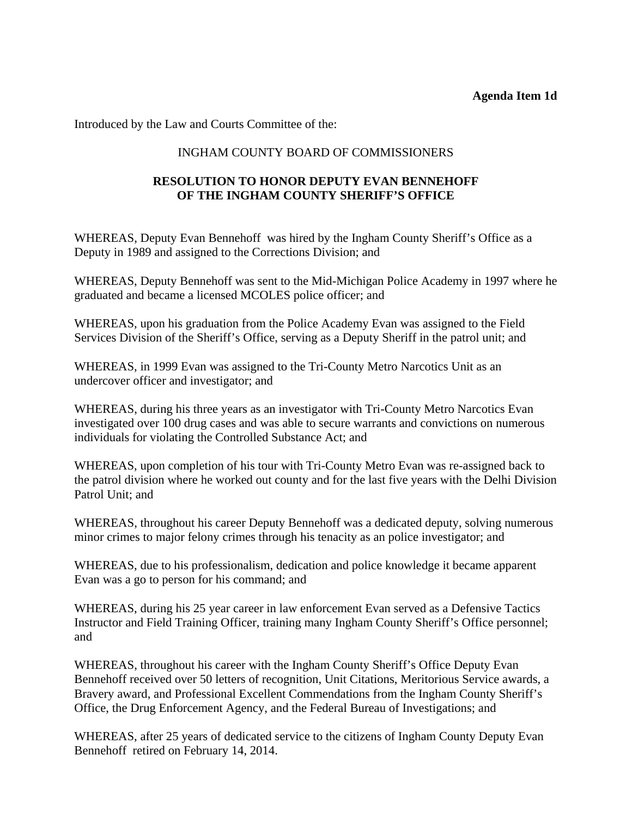#### **Agenda Item 1d**

Introduced by the Law and Courts Committee of the:

## INGHAM COUNTY BOARD OF COMMISSIONERS

# **RESOLUTION TO HONOR DEPUTY EVAN BENNEHOFF OF THE INGHAM COUNTY SHERIFF'S OFFICE**

WHEREAS, Deputy Evan Bennehoff was hired by the Ingham County Sheriff's Office as a Deputy in 1989 and assigned to the Corrections Division; and

WHEREAS, Deputy Bennehoff was sent to the Mid-Michigan Police Academy in 1997 where he graduated and became a licensed MCOLES police officer; and

WHEREAS, upon his graduation from the Police Academy Evan was assigned to the Field Services Division of the Sheriff's Office, serving as a Deputy Sheriff in the patrol unit; and

WHEREAS, in 1999 Evan was assigned to the Tri-County Metro Narcotics Unit as an undercover officer and investigator; and

WHEREAS, during his three years as an investigator with Tri-County Metro Narcotics Evan investigated over 100 drug cases and was able to secure warrants and convictions on numerous individuals for violating the Controlled Substance Act; and

WHEREAS, upon completion of his tour with Tri-County Metro Evan was re-assigned back to the patrol division where he worked out county and for the last five years with the Delhi Division Patrol Unit; and

WHEREAS, throughout his career Deputy Bennehoff was a dedicated deputy, solving numerous minor crimes to major felony crimes through his tenacity as an police investigator; and

WHEREAS, due to his professionalism, dedication and police knowledge it became apparent Evan was a go to person for his command; and

WHEREAS, during his 25 year career in law enforcement Evan served as a Defensive Tactics Instructor and Field Training Officer, training many Ingham County Sheriff's Office personnel; and

WHEREAS, throughout his career with the Ingham County Sheriff's Office Deputy Evan Bennehoff received over 50 letters of recognition, Unit Citations, Meritorious Service awards, a Bravery award, and Professional Excellent Commendations from the Ingham County Sheriff's Office, the Drug Enforcement Agency, and the Federal Bureau of Investigations; and

WHEREAS, after 25 years of dedicated service to the citizens of Ingham County Deputy Evan Bennehoff retired on February 14, 2014.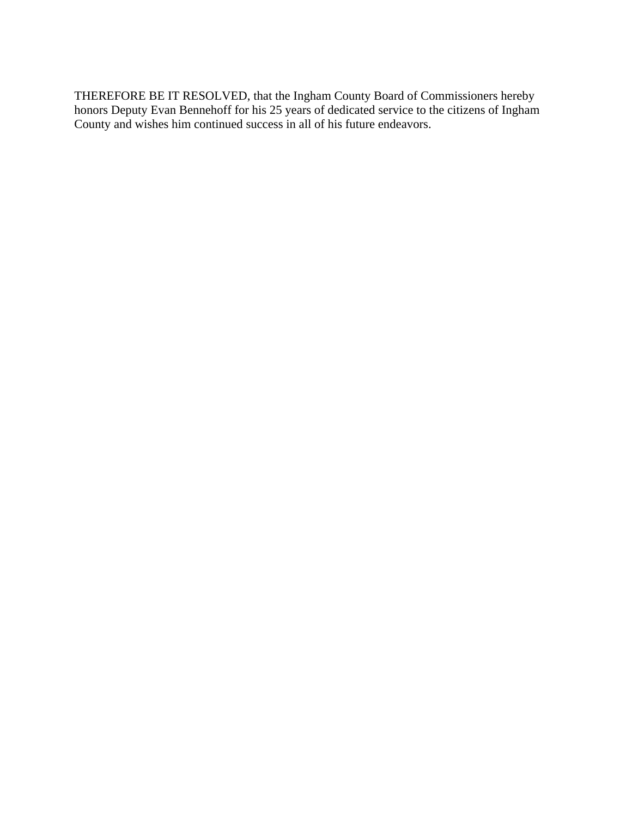THEREFORE BE IT RESOLVED, that the Ingham County Board of Commissioners hereby honors Deputy Evan Bennehoff for his 25 years of dedicated service to the citizens of Ingham County and wishes him continued success in all of his future endeavors.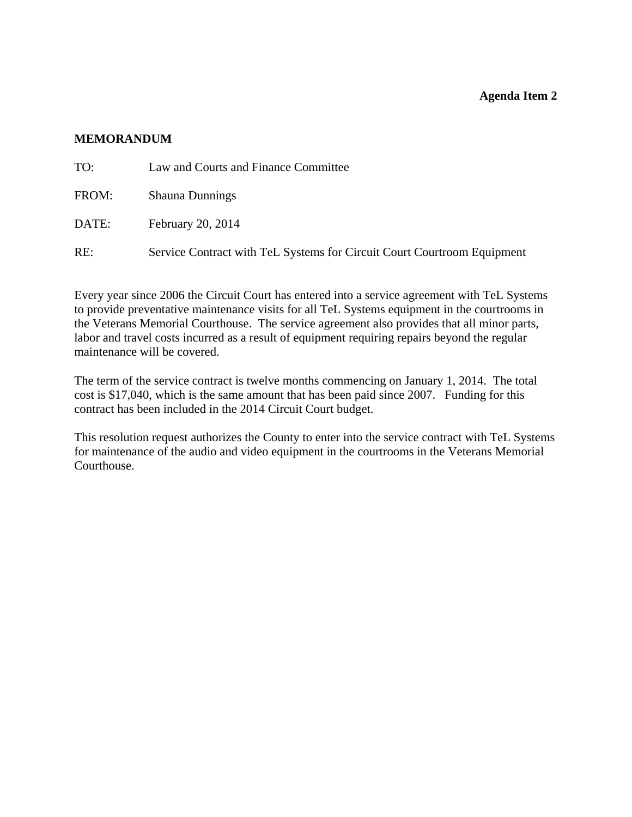#### **Agenda Item 2**

#### <span id="page-16-0"></span>**MEMORANDUM**

| TO:   | Law and Courts and Finance Committee                                    |
|-------|-------------------------------------------------------------------------|
| FROM: | <b>Shauna Dunnings</b>                                                  |
| DATE: | February 20, 2014                                                       |
| RE:   | Service Contract with TeL Systems for Circuit Court Courtroom Equipment |

Every year since 2006 the Circuit Court has entered into a service agreement with TeL Systems to provide preventative maintenance visits for all TeL Systems equipment in the courtrooms in the Veterans Memorial Courthouse. The service agreement also provides that all minor parts, labor and travel costs incurred as a result of equipment requiring repairs beyond the regular maintenance will be covered.

The term of the service contract is twelve months commencing on January 1, 2014. The total cost is \$17,040, which is the same amount that has been paid since 2007. Funding for this contract has been included in the 2014 Circuit Court budget.

This resolution request authorizes the County to enter into the service contract with TeL Systems for maintenance of the audio and video equipment in the courtrooms in the Veterans Memorial Courthouse.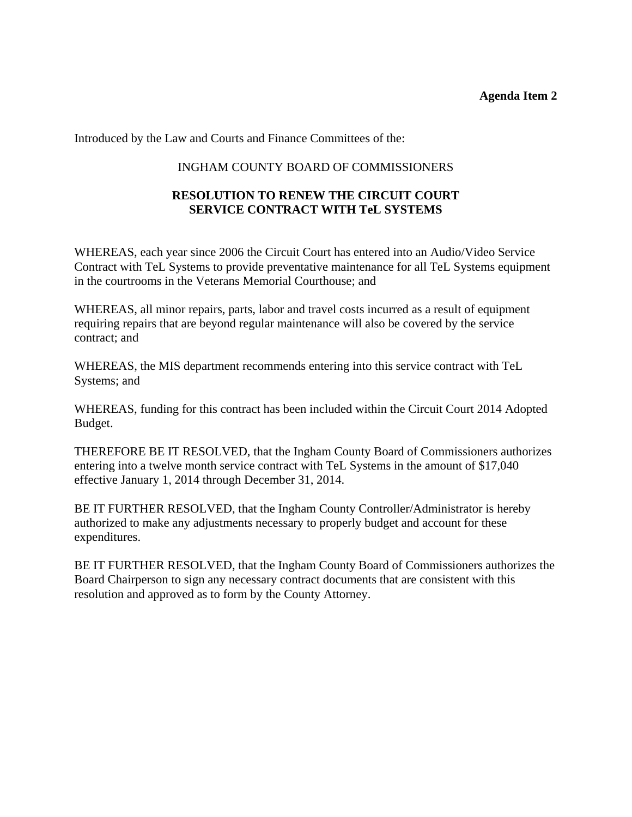#### **Agenda Item 2**

Introduced by the Law and Courts and Finance Committees of the:

#### INGHAM COUNTY BOARD OF COMMISSIONERS

# **RESOLUTION TO RENEW THE CIRCUIT COURT SERVICE CONTRACT WITH TeL SYSTEMS**

WHEREAS, each year since 2006 the Circuit Court has entered into an Audio/Video Service Contract with TeL Systems to provide preventative maintenance for all TeL Systems equipment in the courtrooms in the Veterans Memorial Courthouse; and

WHEREAS, all minor repairs, parts, labor and travel costs incurred as a result of equipment requiring repairs that are beyond regular maintenance will also be covered by the service contract; and

WHEREAS, the MIS department recommends entering into this service contract with TeL Systems; and

WHEREAS, funding for this contract has been included within the Circuit Court 2014 Adopted Budget.

THEREFORE BE IT RESOLVED, that the Ingham County Board of Commissioners authorizes entering into a twelve month service contract with TeL Systems in the amount of \$17,040 effective January 1, 2014 through December 31, 2014.

BE IT FURTHER RESOLVED, that the Ingham County Controller/Administrator is hereby authorized to make any adjustments necessary to properly budget and account for these expenditures.

BE IT FURTHER RESOLVED, that the Ingham County Board of Commissioners authorizes the Board Chairperson to sign any necessary contract documents that are consistent with this resolution and approved as to form by the County Attorney.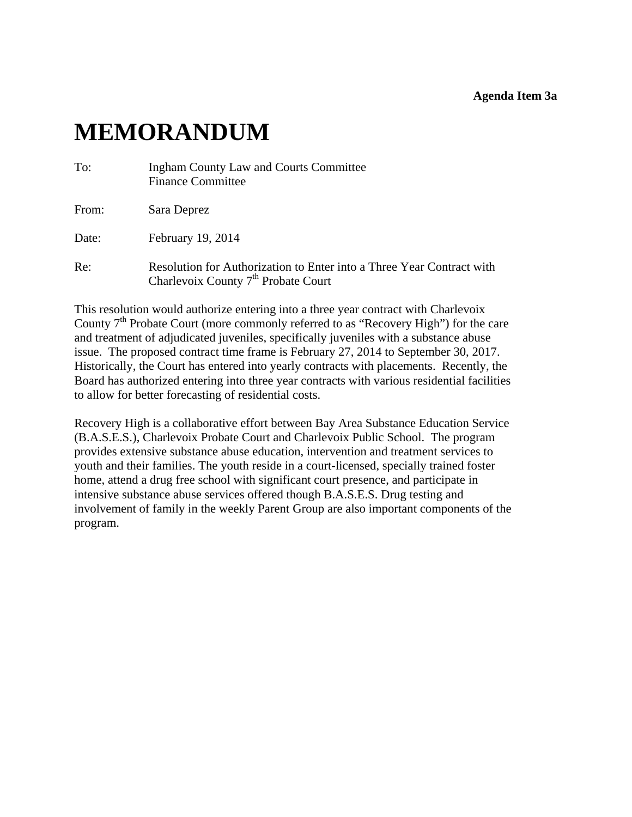#### **Agenda Item 3a**

# <span id="page-18-0"></span>**MEMORANDUM**

| To:   | <b>Ingham County Law and Courts Committee</b><br><b>Finance Committee</b>                                                |
|-------|--------------------------------------------------------------------------------------------------------------------------|
| From: | Sara Deprez                                                                                                              |
| Date: | February 19, 2014                                                                                                        |
| Re:   | Resolution for Authorization to Enter into a Three Year Contract with<br>Charlevoix County 7 <sup>th</sup> Probate Court |

This resolution would authorize entering into a three year contract with Charlevoix County  $7<sup>th</sup>$  Probate Court (more commonly referred to as "Recovery High") for the care and treatment of adjudicated juveniles, specifically juveniles with a substance abuse issue. The proposed contract time frame is February 27, 2014 to September 30, 2017. Historically, the Court has entered into yearly contracts with placements. Recently, the Board has authorized entering into three year contracts with various residential facilities to allow for better forecasting of residential costs.

Recovery High is a collaborative effort between Bay Area Substance Education Service (B.A.S.E.S.), Charlevoix Probate Court and Charlevoix Public School. The program provides extensive substance abuse education, intervention and treatment services to youth and their families. The youth reside in a court-licensed, specially trained foster home, attend a drug free school with significant court presence, and participate in intensive substance abuse services offered though B.A.S.E.S. Drug testing and involvement of family in the weekly Parent Group are also important components of the program.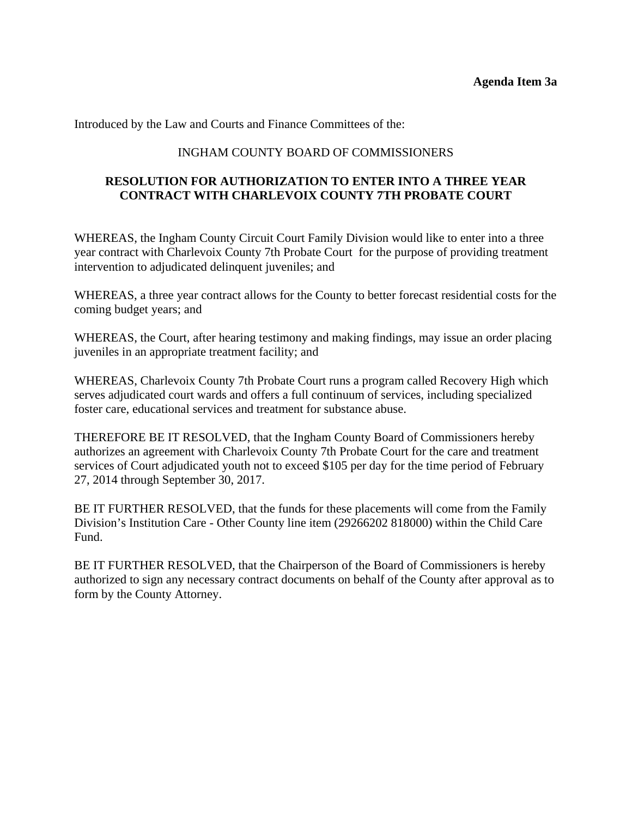Introduced by the Law and Courts and Finance Committees of the:

# INGHAM COUNTY BOARD OF COMMISSIONERS

# **RESOLUTION FOR AUTHORIZATION TO ENTER INTO A THREE YEAR CONTRACT WITH CHARLEVOIX COUNTY 7TH PROBATE COURT**

WHEREAS, the Ingham County Circuit Court Family Division would like to enter into a three year contract with Charlevoix County 7th Probate Court for the purpose of providing treatment intervention to adjudicated delinquent juveniles; and

WHEREAS, a three year contract allows for the County to better forecast residential costs for the coming budget years; and

WHEREAS, the Court, after hearing testimony and making findings, may issue an order placing juveniles in an appropriate treatment facility; and

WHEREAS, Charlevoix County 7th Probate Court runs a program called Recovery High which serves adjudicated court wards and offers a full continuum of services, including specialized foster care, educational services and treatment for substance abuse.

THEREFORE BE IT RESOLVED, that the Ingham County Board of Commissioners hereby authorizes an agreement with Charlevoix County 7th Probate Court for the care and treatment services of Court adjudicated youth not to exceed \$105 per day for the time period of February 27, 2014 through September 30, 2017.

BE IT FURTHER RESOLVED, that the funds for these placements will come from the Family Division's Institution Care - Other County line item (29266202 818000) within the Child Care Fund.

BE IT FURTHER RESOLVED, that the Chairperson of the Board of Commissioners is hereby authorized to sign any necessary contract documents on behalf of the County after approval as to form by the County Attorney.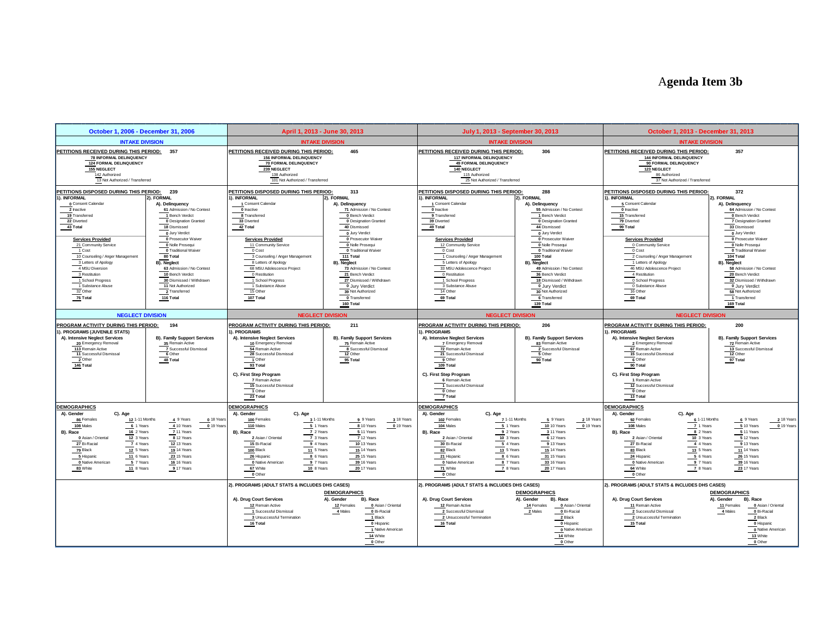# A**genda Item 3b**

<span id="page-20-0"></span>

| October 1, 2006 - December 31, 2006                                                                                                                                                                                                                                                                                 |                                                                                                                                                                                                                                                                                              | April 1, 2013 - June 30, 2013                                                                                                                                                                                                                                                                                                                            |                                                                                                                                                                                                                                                                                        | July 1, 2013 - September 30, 2013                                                                                                                                                                                                                                                                                                         |                                                                                                                                                                                                                                                                                           | October 1, 2013 - December 31, 2013                                                                                                                                                                                                                                                                                                     |                                                                                                                                                                                                                                                                             |
|---------------------------------------------------------------------------------------------------------------------------------------------------------------------------------------------------------------------------------------------------------------------------------------------------------------------|----------------------------------------------------------------------------------------------------------------------------------------------------------------------------------------------------------------------------------------------------------------------------------------------|----------------------------------------------------------------------------------------------------------------------------------------------------------------------------------------------------------------------------------------------------------------------------------------------------------------------------------------------------------|----------------------------------------------------------------------------------------------------------------------------------------------------------------------------------------------------------------------------------------------------------------------------------------|-------------------------------------------------------------------------------------------------------------------------------------------------------------------------------------------------------------------------------------------------------------------------------------------------------------------------------------------|-------------------------------------------------------------------------------------------------------------------------------------------------------------------------------------------------------------------------------------------------------------------------------------------|-----------------------------------------------------------------------------------------------------------------------------------------------------------------------------------------------------------------------------------------------------------------------------------------------------------------------------------------|-----------------------------------------------------------------------------------------------------------------------------------------------------------------------------------------------------------------------------------------------------------------------------|
| <b>INTAKE DIVISION</b>                                                                                                                                                                                                                                                                                              |                                                                                                                                                                                                                                                                                              |                                                                                                                                                                                                                                                                                                                                                          | <b>INTAKE DIVISION</b>                                                                                                                                                                                                                                                                 | <b>INTAKE DIVISION</b>                                                                                                                                                                                                                                                                                                                    |                                                                                                                                                                                                                                                                                           | <b>INTAKE DIVISION</b>                                                                                                                                                                                                                                                                                                                  |                                                                                                                                                                                                                                                                             |
| PETITIONS RECEIVED DURING THIS PERIOD: 357<br>78 INFORMAL DELINQUENCY<br>124 FORMAL DELINQUENCY<br>155 NEGLECT<br>142 Authorized<br>13 Not Authorized / Transferred                                                                                                                                                 |                                                                                                                                                                                                                                                                                              | PETITIONS RECEIVED DURING THIS PERIOD:<br><b>156 INFORMAL DELINQUENCY</b><br>70 FORMAL DELINQUENCY<br>239 NEGLECT<br>138 Authorized<br>101 Not Authorized / Transferred                                                                                                                                                                                  | 465                                                                                                                                                                                                                                                                                    | PETITIONS RECEIVED DURING THIS PERIOD:<br>117 INFORMAL DELINQUENCY<br>49 FORMAL DELINQUENCY<br>140 NEGLECT<br>115 Authorized<br>25 Not Authorized / Transferred                                                                                                                                                                           | 306                                                                                                                                                                                                                                                                                       | PETITIONS RECEIVED DURING THIS PERIOD:<br><b>144 INFORMAL DELINQUENCY</b><br>90 FORMAL DELINQUENCY<br>123 NEGLECT<br>86 Authorized<br>37 Not Authorized / Transferred                                                                                                                                                                   | 357                                                                                                                                                                                                                                                                         |
| PETITIONS DISPOSED DURING THIS PERIOD: 239                                                                                                                                                                                                                                                                          |                                                                                                                                                                                                                                                                                              | PETITIONS DISPOSED DURING THIS PERIOD:                                                                                                                                                                                                                                                                                                                   | 313                                                                                                                                                                                                                                                                                    | PETITIONS DISPOSED DURING THIS PERIOD:                                                                                                                                                                                                                                                                                                    | 288                                                                                                                                                                                                                                                                                       | PETITIONS DISPOSED DURING THIS PERIOD:                                                                                                                                                                                                                                                                                                  | 372                                                                                                                                                                                                                                                                         |
| 1). INFORMAL<br>0 Consent Calendar<br>2 Inactive<br>19 Transferred<br>22 Diverted<br>43 Total<br><b>Services Provided</b><br>21 Community Service<br>1 Cost<br>10 Counseling / Anger Management<br>3 Letters of Apology<br>4 MSU Diversion                                                                          | 2). FORMAL<br>A). Delinquency<br>61 Admission / No Contest<br>1 Bench Verdict<br><b>0</b> Designation Granted<br>18 Dismissed<br>0 Jury Verdict<br><sup>0</sup> Prosecutor Waiver<br>0 Nolle Prosegui<br>0 Traditional Waiver<br>80 Total<br><b>B). Nealect</b><br>63 Admission / No Contest | I). INFORMAL<br>1 Consent Calendar<br>0 Inactive<br>8 Transferred<br>33 Diverted<br>42 Total<br><b>Services Provided</b><br>11 Community Service<br>0 Cost<br>3 Counseling / Anger Management<br>8 Letters of Apology<br>68 MSU Adolescence Project                                                                                                      | 2). FORMAL<br>A). Delinquency<br>71 Admission / No Contest<br>0 Bench Verdict<br><sup>0</sup> Designation Granted<br>40 Dismissed<br>0 Jury Verdict<br>0 Prosecutor Waiver<br>0 Nolle Prosegui<br>0 Traditional Waiver<br>111 Total<br><b>B).</b> Neglect<br>73 Admission / No Contest | 1). INFORMAL<br>1 Consent Calendar<br>0 Inactive<br>9 Transferred<br>39 Diverted<br>49 Total<br><b>Services Provided</b><br>12 Community Service<br>0 Cost<br>1 Counseling / Anger Management<br>5 Letters of Apology<br>33 MSU Adolescence Project                                                                                       | 2). FORMAL<br>A). Delinquency<br>55 Admission / No Contest<br>1 Bench Verdict<br><b>0</b> Designation Granted<br>44 Dismissed<br>0 Jury Verdict<br>0 Prosecutor Waiver<br>0 Nolle Prosegui<br><b>0</b> Traditional Waiver<br>100 Total<br><b>B).</b> Neglect<br>49 Admission / No Contest | I). INFORMAL<br>5 Consent Calendar<br>0 Inactive<br>15 Transferred<br>79 Diverted<br>99 Total<br><b>Services Provided</b><br>0 Community Service<br>0 Cost<br>2 Counseling / Anger Management<br>1 Letters of Apology<br>46 MSU Adolescence Project                                                                                     | 2). FORMAL<br>A). Delinquency<br>64 Admission / No Contest<br>0 Bench Verdict<br>7 Designation Granted<br>33 Dismissed<br>0 Jury Verdict<br>0 Prosecutor Waiver<br>0 Nolle Prosequi<br>0 Traditional Waiver<br>104 Total<br><b>B).</b> Neglect<br>58 Admission / No Contest |
| 3 Restitution<br>1 School Progress<br>1 Substance Abuse<br>32 Other<br>76 Total                                                                                                                                                                                                                                     | 10 Bench Verdict<br>30 Dismissed / Withdrawn<br>11 Not Authorized<br>2 Transferred<br>116 Total                                                                                                                                                                                              | 0 Restitution<br>1 School Progress<br>1 Substance Abuse<br>15 Other<br>107 Total                                                                                                                                                                                                                                                                         | 21 Bench Verdict<br>27 Dismissed / Withdrawn<br>0 Jury Verdict<br>39 Not Authorized<br>0 Transferred<br>160 Total                                                                                                                                                                      | 0 Restitution<br>1 School Progress<br>3 Substance Abuse<br>14 Other<br>69 Total                                                                                                                                                                                                                                                           | 36 Bench Verdict<br>18 Dismissed / Withdrawn<br>0 Jury Verdict<br>30 Not Authorized<br>6 Transferred<br>139 Total                                                                                                                                                                         | 4 Restitution<br>0 School Progress<br>0 Substance Abuse<br>16 Other<br>69 Total                                                                                                                                                                                                                                                         | 20 Bench Verdict<br>32 Dismissed / Withdrawn<br>0 Jury Verdict<br>58 Not Authorized<br>1 Transferred<br>169 Total                                                                                                                                                           |
| <b>NEGLECT DIVISION</b>                                                                                                                                                                                                                                                                                             |                                                                                                                                                                                                                                                                                              |                                                                                                                                                                                                                                                                                                                                                          | <b>NEGLECT DIVISION</b>                                                                                                                                                                                                                                                                | <b>NEGLECT DIVISION</b>                                                                                                                                                                                                                                                                                                                   |                                                                                                                                                                                                                                                                                           | <b>NEGLECT DIVISION</b>                                                                                                                                                                                                                                                                                                                 |                                                                                                                                                                                                                                                                             |
| PROGRAM ACTIVITY DURING THIS PERIOD:<br>. PROGRAMS (JUVENILE STATS)<br>A). Intensive Nealect Services<br>20 Emergency Removal<br>113 Remain Active<br>11 Successful Dismissal<br>$\overline{2}$ Other<br>146 Total                                                                                                  | 194<br><b>B). Family Support Services</b><br>35 Remain Active<br>7 Successful Dismissal<br>6 Other<br>48 Total                                                                                                                                                                               | PROGRAM ACTIVITY DURING THIS PERIOD:<br>). PROGRAMS<br>A). Intensive Neglect Services<br>10 Emergency Removal<br>54 Remain Active<br>28 Successful Dismissal<br>$\overline{1}$ Other<br>93 Total<br>C). First Step Program<br>7 Remain Active<br>15 Successful Dismissal<br>1 Other                                                                      | 211<br><b>B). Family Support Services</b><br>75 Remain Active<br>8 Successful Dismissal<br>12 Other<br>95 Total                                                                                                                                                                        | PROGRAM ACTIVITY DURING THIS PERIOD:<br>1). PROGRAMS<br>A), Intensive Nealect Services<br>7 Emergency Removal<br>72 Remain Active<br>21 Successful Dismissal<br>$9$ Other<br>109 Total<br>C). First Step Program<br>6 Remain Active<br>1 Successful Dismissal<br>0 Other                                                                  | 206<br><b>B). Family Support Services</b><br>83 Remain Active<br>2 Successful Dismissal<br>5 Other<br>90 Total                                                                                                                                                                            | PROGRAM ACTIVITY DURING THIS PERIOD:<br><b>PROGRAMS</b><br>A), Intensive Neglect Services<br>2 Emergency Removal<br>67 Remain Active<br>15 Successful Dismissal<br>6 Other<br>90 Total<br>C). First Step Program<br>1 Remain Active<br>12 Successful Dismissal<br>0 Other                                                               | 200<br><b>B). Family Support Services</b><br>72 Remain Active<br>13 Successful Dismissal<br>12 Other<br>97 Total                                                                                                                                                            |
| <b>DEMOGRAPHICS</b><br>A). Gender<br>C). Age<br>86 Females<br>12 1-11 Months<br>108 Males<br>6 1 Years<br>B), Race<br>16 2 Years<br>12 3 Years<br>0 Asian / Oriental<br>27 Bi-Racial<br>7 4 Years<br>79 Black<br>12 5 Years<br>11 6 Years<br>5 Hispanic<br>5 7 Years<br>0 Native American<br>83 White<br>11 8 Years | 4 9 Years<br>0 18 Year<br>4 10 Years<br>0 19 Year<br>7 11 Years<br>8 12 Years<br>12 13 Years<br>19 14 Years<br><b>23 15 Years</b><br>16 16 Years<br>9 17 Years                                                                                                                               | $\overline{23}$ Total<br><b>DEMOGRAPHICS</b><br>A). Gender<br>C). Age<br>100 Females<br>3 1-11 Months<br>110 Males<br>$5$ 1 Years<br>B), Race<br>7 2 Years<br>7 3 Years<br>2 Asian / Oriental<br>15 Bi-Racial<br>9 4 Years<br>100 Black<br>11 5 Years<br>26 Hispanic<br>8 6 Years<br>O Native American<br>9 7 Years<br>67 White<br>10 8 Years<br>0 Other | 9 9 Years<br>3 18 Years<br>8 10 Years<br>0 19 Years<br>5 11 Years<br>7 12 Years<br>10 13 Years<br>15 14 Years<br>25 15 Years<br>39 16 Years<br>20 17 Years                                                                                                                             | 7 Total<br><b>DEMOGRAPHICS</b><br>A). Gender<br>C). Age<br>102 Females<br>7 1-11 Months<br>104 Males<br>$5$ 1 Years<br>B), Race<br>9 2 Years<br>10 3 Years<br>2 Asian / Oriental<br>30 Bi-Racial<br>5 4 Years<br>82 Black<br>13 5 Years<br>21 Hispanic<br>8 6 Years<br>0 Native American<br>8 7 Years<br>71 White<br>7 8 Years<br>0 Other | 5 9 Years<br>2 18 Years<br><b>10 10 Years</b><br>0 19 Years<br>3 11 Years<br>6 12 Years<br>9 13 Years<br><b>15 14 Years</b><br>31 15 Years<br>33 16 Years<br>20 17 Years                                                                                                                  | 13 Total<br><b>DEMOGRAPHICS</b><br>A), Gender<br>C). Age<br>92 Females<br>6 1-11 Months<br>108 Males<br>7 1 Years<br>8 2 Years<br>B), Race<br>10 3 Years<br>2 Asian / Oriental<br>27 Bi-Racial<br>4 4 Years<br>83 Black<br>13 5 Years<br>5 6 Years<br>24 Hispanic<br>0 Native American<br>9 7 Years<br>64 White<br>7 8 Years<br>0 Other | 6 9 Years<br>2 18 Years<br>$0$ 19 Years<br>5 10 Years<br>5 11 Years<br>5 12 Years<br>9 13 Years<br><b>11 14 Years</b><br>26 15 Years<br>39 16 Years<br>23 17 Years                                                                                                          |
|                                                                                                                                                                                                                                                                                                                     |                                                                                                                                                                                                                                                                                              | 2). PROGRAMS (ADULT STATS & INCLUDES DHS CASES)<br>A), Drug Court Services<br>12 Remain Active<br>1 Successful Dismissal<br>3 Unsuccessful Termination<br>16 Total                                                                                                                                                                                       | <b>DEMOGRAPHICS</b><br>A), Gender<br>B), Race<br>12 Females<br>0 Asian / Oriental<br>0 Bi-Racial<br>4 Males<br>1 Black<br>0 Hispanic<br>1 Native American<br>14 White<br>0 Other                                                                                                       | 2). PROGRAMS (ADULT STATS & INCLUDES DHS CASES)<br>A). Drug Court Services<br>12 Remain Active<br>2 Successful Dismissal<br>2 Unsuccessful Termination<br>16 Total                                                                                                                                                                        | <b>DEMOGRAPHICS</b><br>A), Gender<br>B), Race<br>14 Females<br>0 Asian / Oriental<br>0 Bi-Racial<br>2 Males<br>2 Black<br>0 Hispanic<br>0 Native American<br>14 White<br>0 Other                                                                                                          | 2). PROGRAMS (ADULT STATS & INCLUDES DHS CASES)<br>A). Drug Court Services<br>11 Remain Active<br>2 Successful Dismissal<br>2 Unsuccessful Termination<br>15 Total                                                                                                                                                                      | <b>DEMOGRAPHICS</b><br>A), Gender<br>B), Race<br>11 Females<br>0 Asian / Oriental<br>0 Bi-Racial<br>4 Males<br>2 Black<br>0 Hispanic<br>0 Native American<br>13 White<br>0 Other                                                                                            |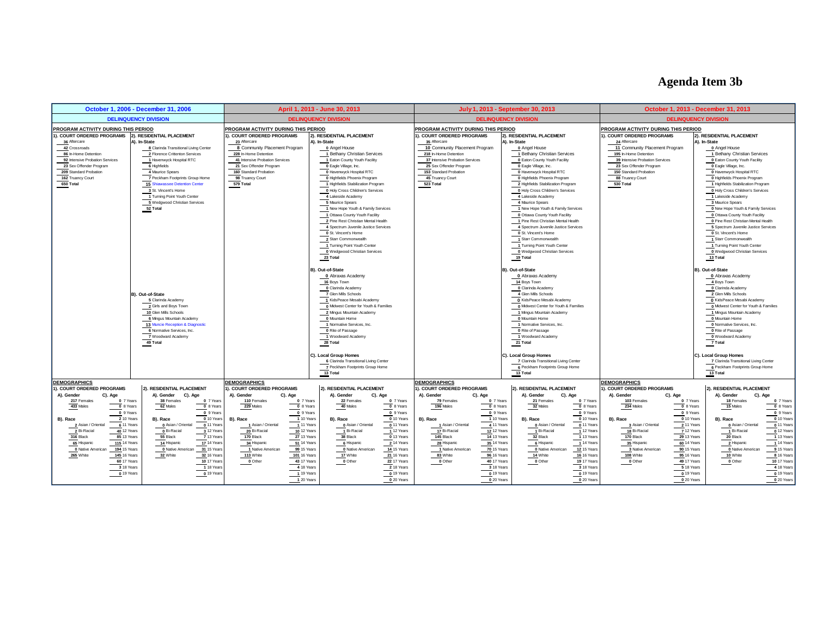# **Agenda Item 3b**

|                                                                                                                                                                                                                                                                                                    | October 1, 2006 - December 31, 2006                                                                                                                                                                                                                                                                                                      |                                                                                                                                                                                                                                                                                                   | April 1, 2013 - June 30, 2013                                                                                                                                                                                                                                                                                                                                                                                                                                                                                                                                                                                            |                                                                                                                                          |                                                                                                                                                                                                                                                                      |                                                                                                                                                      | July 1, 2013 - September 30, 2013                                                                                                                                                                                                                                                                                                                                                                                                                                                                                                                                                                                               |                                                                                                                                 |                                                                                                                                                                                                                                                                      |                                                                                                                                      | October 1, 2013 - December 31, 2013                                                                                                                                                                                                                                                                                                                                                                                                                                                                                                                                                                                           |                                                                                                                                    |
|----------------------------------------------------------------------------------------------------------------------------------------------------------------------------------------------------------------------------------------------------------------------------------------------------|------------------------------------------------------------------------------------------------------------------------------------------------------------------------------------------------------------------------------------------------------------------------------------------------------------------------------------------|---------------------------------------------------------------------------------------------------------------------------------------------------------------------------------------------------------------------------------------------------------------------------------------------------|--------------------------------------------------------------------------------------------------------------------------------------------------------------------------------------------------------------------------------------------------------------------------------------------------------------------------------------------------------------------------------------------------------------------------------------------------------------------------------------------------------------------------------------------------------------------------------------------------------------------------|------------------------------------------------------------------------------------------------------------------------------------------|----------------------------------------------------------------------------------------------------------------------------------------------------------------------------------------------------------------------------------------------------------------------|------------------------------------------------------------------------------------------------------------------------------------------------------|---------------------------------------------------------------------------------------------------------------------------------------------------------------------------------------------------------------------------------------------------------------------------------------------------------------------------------------------------------------------------------------------------------------------------------------------------------------------------------------------------------------------------------------------------------------------------------------------------------------------------------|---------------------------------------------------------------------------------------------------------------------------------|----------------------------------------------------------------------------------------------------------------------------------------------------------------------------------------------------------------------------------------------------------------------|--------------------------------------------------------------------------------------------------------------------------------------|-------------------------------------------------------------------------------------------------------------------------------------------------------------------------------------------------------------------------------------------------------------------------------------------------------------------------------------------------------------------------------------------------------------------------------------------------------------------------------------------------------------------------------------------------------------------------------------------------------------------------------|------------------------------------------------------------------------------------------------------------------------------------|
|                                                                                                                                                                                                                                                                                                    | <b>DELINQUENCY DIVISION</b>                                                                                                                                                                                                                                                                                                              |                                                                                                                                                                                                                                                                                                   | <b>DELINQUENCY DIVISION</b>                                                                                                                                                                                                                                                                                                                                                                                                                                                                                                                                                                                              |                                                                                                                                          |                                                                                                                                                                                                                                                                      |                                                                                                                                                      | <b>DELINQUENCY DIVISION</b>                                                                                                                                                                                                                                                                                                                                                                                                                                                                                                                                                                                                     |                                                                                                                                 |                                                                                                                                                                                                                                                                      | <b>DELINQUENCY DIVISION</b>                                                                                                          |                                                                                                                                                                                                                                                                                                                                                                                                                                                                                                                                                                                                                               |                                                                                                                                    |
| PROGRAM ACTIVITY DURING THIS PERIOD<br>). COURT ORDERED PROGRAMS 2). RESIDENTIAL PLACEMENT<br>36 Aftercare<br>42 Crossroads<br>86 In-Home Detention<br>92 Intensive Probation Services<br>23 Sex Offender Program<br>209 Standard Probation<br>162 Truancy Court<br>650 Total                      | A). In-State<br>8 Clarinda Transitional Living Center<br>2 Florence Crittenton Services<br>1 Havenwyck Hospital RTC<br>6 Highfields<br>4 Maurice Spears<br>7 Peckham Footprints Group Home<br><b>15 Shiawassee Detention Center</b><br>3 St. Vincent's Home<br>1 Turning Point Youth Center<br>5 Wedgwood Christian Services<br>52 Total | PROGRAM ACTIVITY DURING THIS PERIOD<br>1), COURT ORDERED PROGRAMS<br>23 Aftercare<br>8 Community Placement Program<br>228 In-Home Detention<br>41 Intensive Probation Services<br>21 Sex Offender Program<br>160 Standard Probation<br>98 Truancy Court<br>579 Total                              | 2). RESIDENTIAL PLACEMENT<br>A). In-State<br>0 Angel House<br>1 Bethany Christian Services<br>1 Eaton County Youth Facility<br>0 Eagle Village, Inc.<br>0 Havenwyck Hospital RTC<br>0 Highfields Phoenix Program<br>1 Highfields Stabilization Program<br>0 Holy Cross Children's Services<br>4 Lakeside Academy<br>5 Maurice Spears<br>1 New Hope Youth & Family Services<br>1 Ottawa County Youth Facility<br>2 Pine Rest Christian Mental Health<br>4 Spectrum Juvenile Justice Services<br>0 St. Vincent's Home<br>2 Starr Commonwealth<br>1 Turning Point Youth Center<br>0 Wedgwood Christian Services<br>23 Total |                                                                                                                                          | PROGRAM ACTIVITY DURING THIS PERIOD<br>). COURT ORDERED PROGRAMS<br>35 Aftercare<br>10 Community Placement Program<br>218 In-Home Detention<br>37 Intensive Probation Services<br>25 Sex Offender Program<br>153 Standard Probation<br>45 Truancy Court<br>523 Total |                                                                                                                                                      | 2). RESIDENTIAL PLACEMENT<br>A). In-State<br>0 Angel House<br>1 Bethany Christian Services<br><b>0 Eaton County Youth Facility</b><br>0 Eagle Village, Inc.<br>0 Havenwyck Hospital RTC<br>0 Highfields Phoenix Program<br>2 Highfields Stabilization Program<br>0 Holy Cross Children's Services<br>4 Lakeside Academy<br>4 Maurice Spears<br>1 New Hope Youth & Family Services<br>0 Ottawa County Youth Facility<br>1 Pine Rest Christian Mental Health<br>4 Spectrum Juvenile Justice Services<br>0 St. Vincent's Home<br>1 Starr Commonwealth<br>1 Turning Point Youth Center<br>0 Wedgwood Christian Services<br>19 Total |                                                                                                                                 | PROGRAM ACTIVITY DURING THIS PERIOD<br>). COURT ORDERED PROGRAMS<br>24 Aftercare<br>11 Community Placement Program<br>195 In-Home Detention<br>39 Intensive Probation Services<br>23 Sex Offender Program<br>150 Standard Probation<br>88 Truancy Court<br>530 Total |                                                                                                                                      | 2). RESIDENTIAL PLACEMENT<br>A). In-State<br>0 Angel House<br>1 Bethany Christian Services<br><b>0 Eaton County Youth Facility</b><br>O Eagle Village, Inc.<br>0 Havenwyck Hospital RTC<br>0 Highfields Phoenix Program<br>1 Highfields Stabilization Program<br>0 Holy Cross Children's Services<br>1 Lakeside Academy<br>3 Maurice Spears<br>0 New Hope Youth & Family Services<br>Ottawa County Youth Facility<br>0 Pine Rest Christian Mental Health<br>5 Spectrum Juvenile Justice Services<br>0 St. Vincent's Home<br>1 Starr Commonwealth<br>1 Turning Point Youth Center<br>0 Wedgwood Christian Services<br>13 Total |                                                                                                                                    |
|                                                                                                                                                                                                                                                                                                    | B). Out-of-State<br>5 Clarinda Academy<br>2 Girls and Boys Town<br>10 Glen Mills Schools<br>6 Mingus Mountain Academy<br>13 Muncie Reception & Diagnostic<br>6 Normative Services, Inc.<br>7 Woodward Academy<br>49 Total                                                                                                                |                                                                                                                                                                                                                                                                                                   | B). Out-of-State<br>0 Abraxas Academy<br>16 Boys Town<br>0 Clarinda Academy<br>7 Glen Mills Schools<br>1 KidsPeace Mesabi Academy<br>0 Midwest Center for Youth & Families<br>2 Mingus Mountain Academy<br>0 Mountain Home<br>1 Normative Services, Inc.<br>0 Rite of Passage<br>1 Woodward Academy<br>28 Total<br>C). Local Group Homes<br>6 Clarinda Transitional Living Center<br>7 Peckham Footprints Group Home<br>13 Total                                                                                                                                                                                         |                                                                                                                                          |                                                                                                                                                                                                                                                                      |                                                                                                                                                      | B). Out-of-State<br>0 Abraxas Academy<br>14 Boys Town<br>0 Clarinda Academy<br>4 Glen Mills Schools<br>O KidsPeace Mesabi Academy<br>0 Midwest Center for Youth & Families<br>1 Mingus Mountain Academy<br>0 Mountain Home<br>1 Normative Services, Inc.<br>0 Rite of Passage<br>1 Woodward Academy<br>21 Total<br>C). Local Group Homes<br>7 Clarinda Transitional Living Center<br>6 Peckham Footprints Group Home<br>$13$ Total                                                                                                                                                                                              |                                                                                                                                 |                                                                                                                                                                                                                                                                      |                                                                                                                                      | B). Out-of-State<br>0 Abraxas Academy<br>4 Boys Town<br>O Clarinda Academy<br>2 Glen Mills Schools<br>0 KidsPeace Mesabi Academy<br>0 Midwest Center for Youth & Families<br>1 Mingus Mountain Academy<br>0 Mountain Home<br>0 Normative Services, Inc.<br>0 Rite of Passage<br>0 Woodward Academy<br>7 Total<br>C). Local Group Homes<br>7 Clarinda Transitional Living Center<br>6 Peckham Footprints Group Home<br>13 Total                                                                                                                                                                                                |                                                                                                                                    |
| <b>DEMOGRAPHICS</b>                                                                                                                                                                                                                                                                                |                                                                                                                                                                                                                                                                                                                                          | <b>DEMOGRAPHICS</b>                                                                                                                                                                                                                                                                               |                                                                                                                                                                                                                                                                                                                                                                                                                                                                                                                                                                                                                          |                                                                                                                                          | <b>DEMOGRAPHICS</b>                                                                                                                                                                                                                                                  |                                                                                                                                                      |                                                                                                                                                                                                                                                                                                                                                                                                                                                                                                                                                                                                                                 |                                                                                                                                 | <b>EMOGRAPHICS</b>                                                                                                                                                                                                                                                   |                                                                                                                                      |                                                                                                                                                                                                                                                                                                                                                                                                                                                                                                                                                                                                                               |                                                                                                                                    |
| . COURT ORDERED PROGRAMS                                                                                                                                                                                                                                                                           | 2). RESIDENTIAL PLACEMENT                                                                                                                                                                                                                                                                                                                | I). COURT ORDERED PROGRAMS                                                                                                                                                                                                                                                                        | 2). RESIDENTIAL PLACEMENT                                                                                                                                                                                                                                                                                                                                                                                                                                                                                                                                                                                                |                                                                                                                                          | ). COURT ORDERED PROGRAMS                                                                                                                                                                                                                                            |                                                                                                                                                      | 2). RESIDENTIAL PLACEMENT                                                                                                                                                                                                                                                                                                                                                                                                                                                                                                                                                                                                       |                                                                                                                                 | . COURT ORDERED PROGRAMS                                                                                                                                                                                                                                             |                                                                                                                                      | 2). RESIDENTIAL PLACEMENT                                                                                                                                                                                                                                                                                                                                                                                                                                                                                                                                                                                                     |                                                                                                                                    |
| A). Gender<br>C). Age<br>217 Females<br>0 7 Years<br>433 Males<br>0 8 Years<br>0 9 Years<br>B). Race<br>2 10 Years<br>6 11 Years<br>2 Asian / Oriental<br>2 Bi-Racial<br><b>40 12 Years</b><br>316 Black<br>85 13 Years<br><b>115 14 Years</b><br>65 Hispanic<br>0 Native American<br>194 15 Years | A). Gender<br>C). Age<br>38 Females<br>0 7 Years<br>62 Males<br>0 8 Years<br>0 9 Years<br>0 10 Years<br>B). Race<br>$0$ 11 Years<br>0 Asian / Oriental<br>0 Bi-Racial<br>3 12 Years<br>55 Black<br>7 13 Years<br><b>17 14 Year:</b><br>14 Hispanic<br>0 Native American<br>31 15 Years                                                   | A). Gender<br>C). Age<br>110 Females<br>0 7 Years<br>0 8 Years<br>229 Males<br>0 9 Years<br>1 10 Years<br>B). Race<br>1 Asian / Oriental<br>1 11 Years<br>20 Bi-Racial<br><b>10 12 Years</b><br>27 13 Years<br>170 Black<br><b>51 14 Years</b><br>34 Hispanic<br>1 Native American<br>99 15 Years | A). Gender<br>22 Females<br>40 Males<br>B). Race<br>0 Asian / Oriental<br>1 Bi-Racial<br>38 Black<br>6 Hispanic<br>0 Native American                                                                                                                                                                                                                                                                                                                                                                                                                                                                                     | C). Age<br>0 7 Years<br>0 8 Years<br>0 9 Years<br>0 10 Years<br>011 Years<br>112 Years<br>0 13 Years<br>2 14 Years<br><b>14 15 Years</b> | A). Gender<br>79 Females<br>196 Males<br>B). Race<br>1 Asian / Oriental<br>17 Bi-Racial<br>145 Black<br>28 Hispanic<br>1 Native American                                                                                                                             | C). Age<br>0 7 Years<br>0 8 Years<br>0 9 Years<br>1 10 Years<br>4 11 Years<br><b>12 12 Years</b><br><b>14 13 Years</b><br>35 14 Years<br>70 15 Years | C). Age<br>A). Gender<br>21 Females<br>32 Males<br>B). Race<br>0 Asian / Oriental<br>1 Bi-Racial<br>32 Black<br>6 Hispanic<br>0 Native American                                                                                                                                                                                                                                                                                                                                                                                                                                                                                 | 0 7 Years<br>0 8 Years<br>0 9 Years<br>0 10 Years<br>0 11 Years<br>1 12 Years<br>1 13 Years<br>1 14 Years<br><b>12 15 Years</b> | A). Gender<br>103 Females<br>234 Males<br>B). Race<br>3 Asian / Oriental<br>18 Bi-Racial<br>170 Black<br>35 Hispanic<br>3 Native American                                                                                                                            | C). Age<br>0 7 Years<br>0 8 Years<br>0 9 Years<br>0 10 Years<br>211 Years<br>7 12 Years<br>29 13 Years<br>60 14 Years<br>90 15 Years | A). Gender<br>18 Females<br>15 Males<br>B). Race<br>0 Asian / Oriental<br>1 Bi-Racial<br>20 Black<br>2 Hispanic<br>0 Native American                                                                                                                                                                                                                                                                                                                                                                                                                                                                                          | C). Age<br>0 7 Years<br>0 8 Years<br>0 9 Years<br>0 10 Years<br>0 11 Years<br>0 12 Years<br>1 13 Years<br>1 14 Years<br>9 15 Years |
| 145 16 Years<br>265 White<br>60 17 Years<br>3 18 Years<br>0 19 Years                                                                                                                                                                                                                               | 32 16 Years<br>32 White<br><b>10 17 Year</b><br>1 18 Year<br>0 19 Years                                                                                                                                                                                                                                                                  | 113 White<br>101 16 Years<br>43 17 Years<br>$0$ Other<br>4 18 Years<br>1 19 Years<br>1 20 Years                                                                                                                                                                                                   | 17 White<br>0 Other                                                                                                                                                                                                                                                                                                                                                                                                                                                                                                                                                                                                      | 21 16 Years<br>22 17 Years<br>2 18 Years<br>0 19 Years<br>0 20 Years                                                                     | 83 White<br>$0$ Other                                                                                                                                                                                                                                                | 96 16 Years<br><b>40 17 Years</b><br>3 18 Years<br>0 19 Years<br>0 20 Years                                                                          | 14 White<br>0 Other                                                                                                                                                                                                                                                                                                                                                                                                                                                                                                                                                                                                             | 16 Years<br>19 17 Years<br>3 18 Years<br>0 19 Years<br>0 20 Years                                                               | 108 White<br>0 Other                                                                                                                                                                                                                                                 | 95 16 Years<br>49 17 Years<br>5 18 Years<br>0 19 Years<br>0 20 Years                                                                 | 10 White<br>0 Other                                                                                                                                                                                                                                                                                                                                                                                                                                                                                                                                                                                                           | 8 16 Years<br>10 17 Years<br>4 18 Years<br>0 19 Years<br>0 20 Years                                                                |